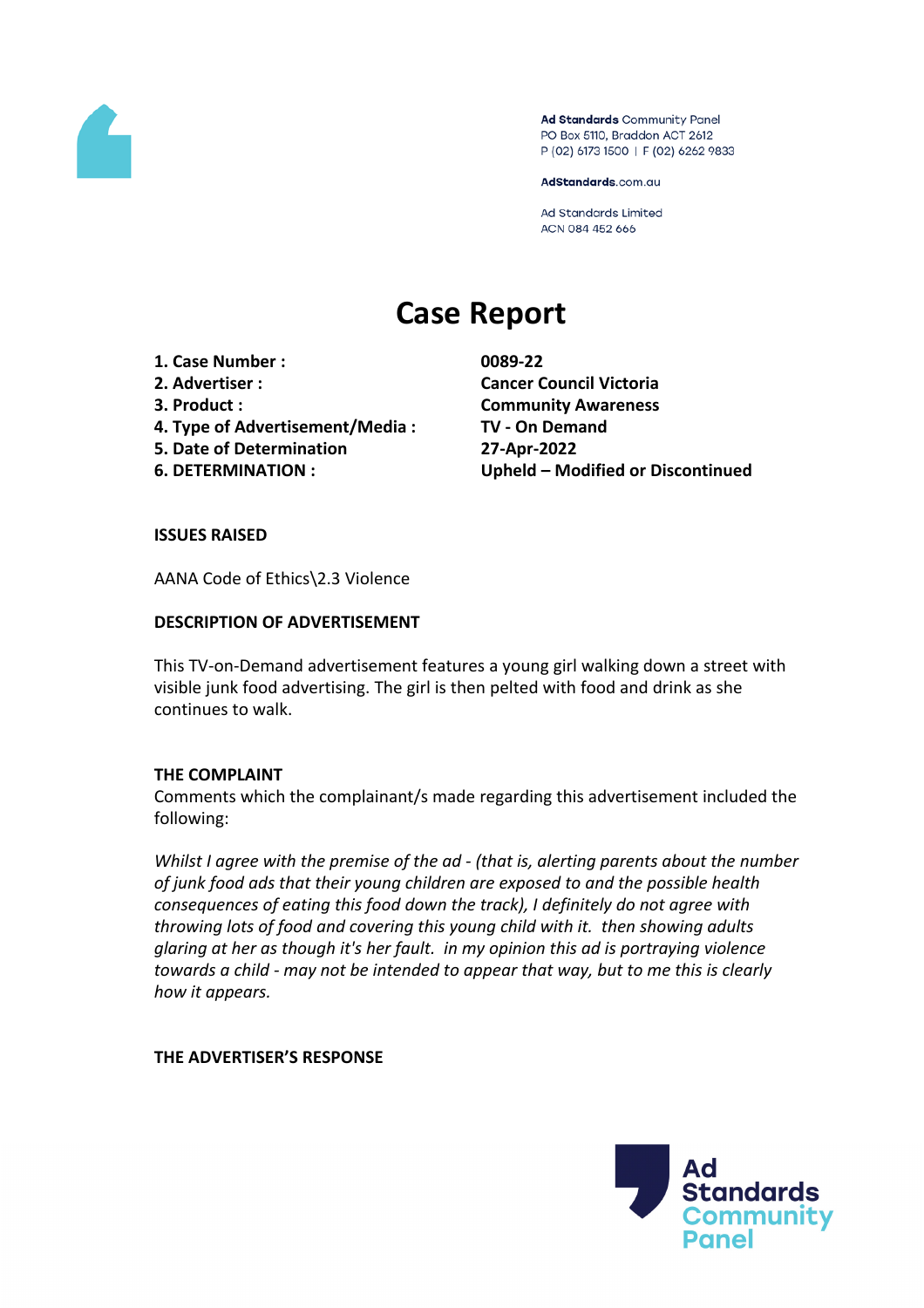

Ad Standards Community Panel PO Box 5110, Braddon ACT 2612 P (02) 6173 1500 | F (02) 6262 9833

AdStandards.com.au

Ad Standards Limited ACN 084 452 666

# **Case Report**

- **1. Case Number : 0089-22**
- 
- 
- **4. Type of Advertisement/Media : TV - On Demand**
- **5. Date of Determination 27-Apr-2022**
- 

**2. Advertiser : Cancer Council Victoria 3. Product : Community Awareness 6. DETERMINATION : Upheld – Modified or Discontinued**

# **ISSUES RAISED**

AANA Code of Ethics\2.3 Violence

# **DESCRIPTION OF ADVERTISEMENT**

This TV-on-Demand advertisement features a young girl walking down a street with visible junk food advertising. The girl is then pelted with food and drink as she continues to walk.

## **THE COMPLAINT**

Comments which the complainant/s made regarding this advertisement included the following:

*Whilst I agree with the premise of the ad - (that is, alerting parents about the number of junk food ads that their young children are exposed to and the possible health consequences of eating this food down the track), I definitely do not agree with throwing lots of food and covering this young child with it. then showing adults glaring at her as though it's her fault. in my opinion this ad is portraying violence towards a child - may not be intended to appear that way, but to me this is clearly how it appears.*

## **THE ADVERTISER'S RESPONSE**

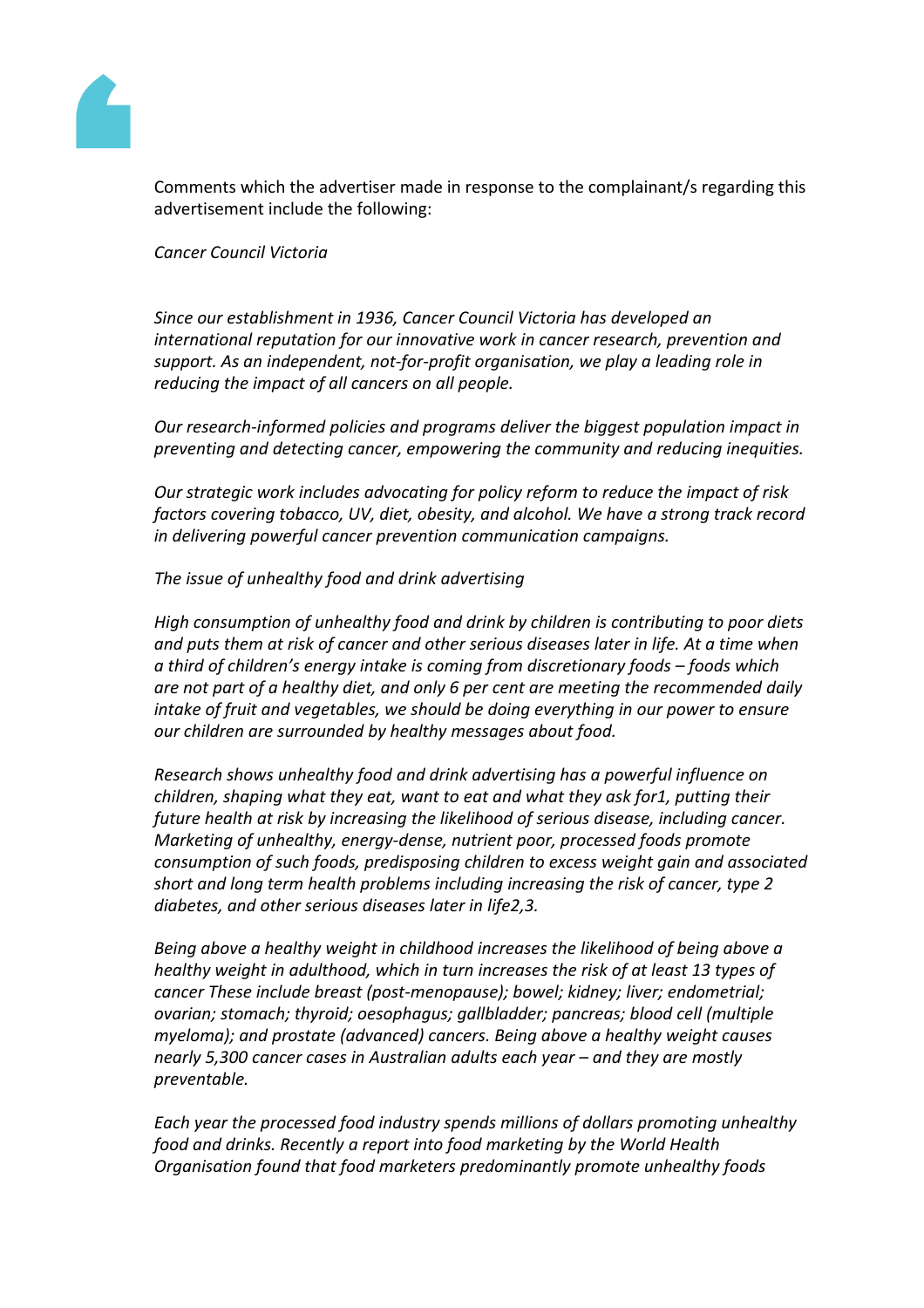

Comments which the advertiser made in response to the complainant/s regarding this advertisement include the following:

*Cancer Council Victoria* 

*Since our establishment in 1936, Cancer Council Victoria has developed an international reputation for our innovative work in cancer research, prevention and support. As an independent, not-for-profit organisation, we play a leading role in reducing the impact of all cancers on all people.* 

*Our research-informed policies and programs deliver the biggest population impact in preventing and detecting cancer, empowering the community and reducing inequities.*

*Our strategic work includes advocating for policy reform to reduce the impact of risk factors covering tobacco, UV, diet, obesity, and alcohol. We have a strong track record in delivering powerful cancer prevention communication campaigns.*

*The issue of unhealthy food and drink advertising* 

*High consumption of unhealthy food and drink by children is contributing to poor diets and puts them at risk of cancer and other serious diseases later in life. At a time when a third of children's energy intake is coming from discretionary foods – foods which are not part of a healthy diet, and only 6 per cent are meeting the recommended daily intake of fruit and vegetables, we should be doing everything in our power to ensure our children are surrounded by healthy messages about food.* 

*Research shows unhealthy food and drink advertising has a powerful influence on children, shaping what they eat, want to eat and what they ask for1, putting their future health at risk by increasing the likelihood of serious disease, including cancer. Marketing of unhealthy, energy-dense, nutrient poor, processed foods promote consumption of such foods, predisposing children to excess weight gain and associated short and long term health problems including increasing the risk of cancer, type 2 diabetes, and other serious diseases later in life2,3.* 

*Being above a healthy weight in childhood increases the likelihood of being above a healthy weight in adulthood, which in turn increases the risk of at least 13 types of cancer These include breast (post-menopause); bowel; kidney; liver; endometrial; ovarian; stomach; thyroid; oesophagus; gallbladder; pancreas; blood cell (multiple myeloma); and prostate (advanced) cancers. Being above a healthy weight causes nearly 5,300 cancer cases in Australian adults each year – and they are mostly preventable.*

*Each year the processed food industry spends millions of dollars promoting unhealthy food and drinks. Recently a report into food marketing by the World Health Organisation found that food marketers predominantly promote unhealthy foods*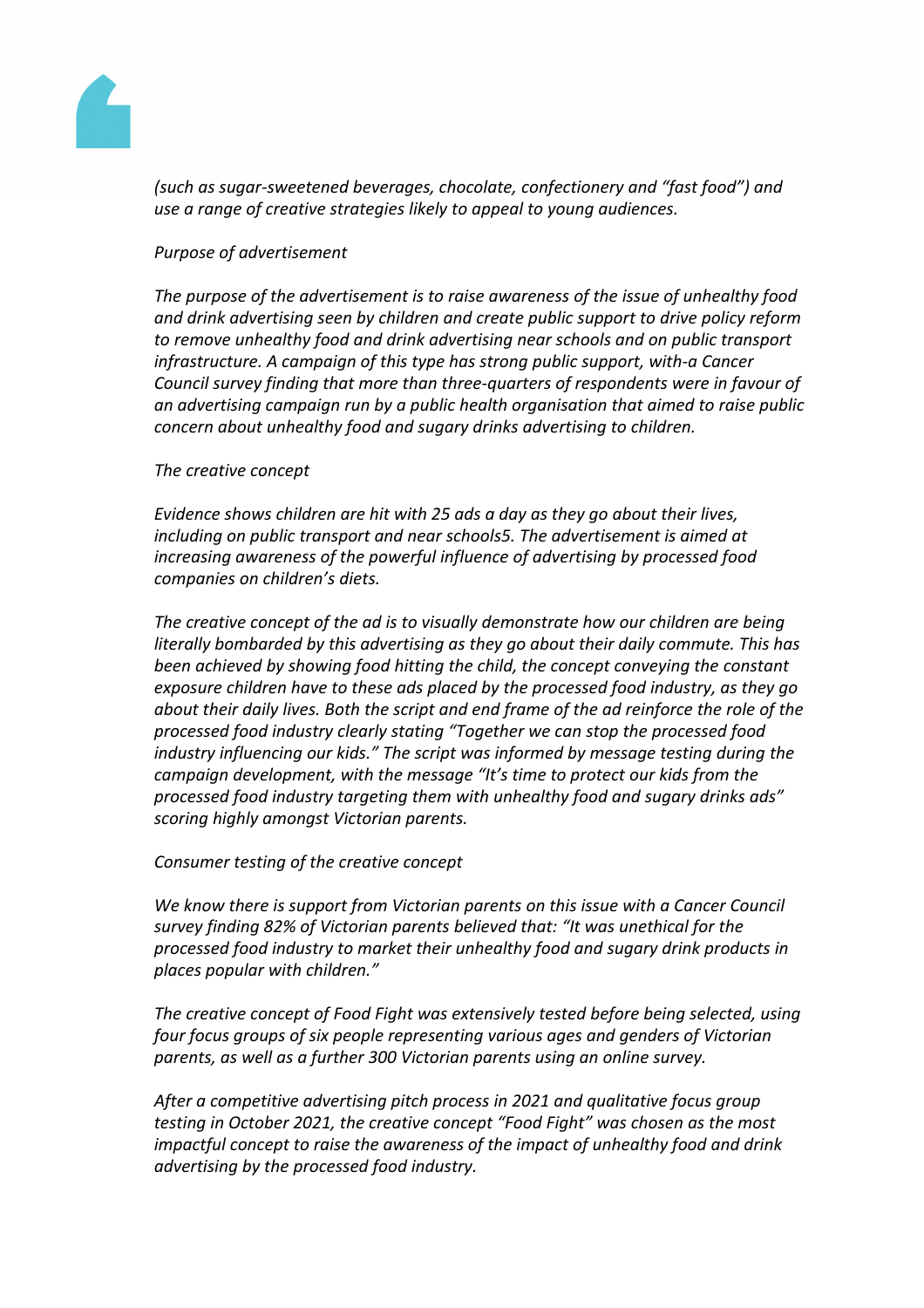

*(such as sugar-sweetened beverages, chocolate, confectionery and "fast food") and use a range of creative strategies likely to appeal to young audiences.* 

## *Purpose of advertisement*

*The purpose of the advertisement is to raise awareness of the issue of unhealthy food and drink advertising seen by children and create public support to drive policy reform to remove unhealthy food and drink advertising near schools and on public transport infrastructure. A campaign of this type has strong public support, with-a Cancer Council survey finding that more than three-quarters of respondents were in favour of an advertising campaign run by a public health organisation that aimed to raise public concern about unhealthy food and sugary drinks advertising to children.* 

## *The creative concept*

*Evidence shows children are hit with 25 ads a day as they go about their lives, including on public transport and near schools5. The advertisement is aimed at increasing awareness of the powerful influence of advertising by processed food companies on children's diets.* 

*The creative concept of the ad is to visually demonstrate how our children are being literally bombarded by this advertising as they go about their daily commute. This has been achieved by showing food hitting the child, the concept conveying the constant exposure children have to these ads placed by the processed food industry, as they go about their daily lives. Both the script and end frame of the ad reinforce the role of the processed food industry clearly stating "Together we can stop the processed food industry influencing our kids." The script was informed by message testing during the campaign development, with the message "It's time to protect our kids from the processed food industry targeting them with unhealthy food and sugary drinks ads" scoring highly amongst Victorian parents.* 

## *Consumer testing of the creative concept*

*We know there is support from Victorian parents on this issue with a Cancer Council survey finding 82% of Victorian parents believed that: "It was unethical for the processed food industry to market their unhealthy food and sugary drink products in places popular with children."*

*The creative concept of Food Fight was extensively tested before being selected, using four focus groups of six people representing various ages and genders of Victorian parents, as well as a further 300 Victorian parents using an online survey.* 

*After a competitive advertising pitch process in 2021 and qualitative focus group testing in October 2021, the creative concept "Food Fight" was chosen as the most impactful concept to raise the awareness of the impact of unhealthy food and drink advertising by the processed food industry.*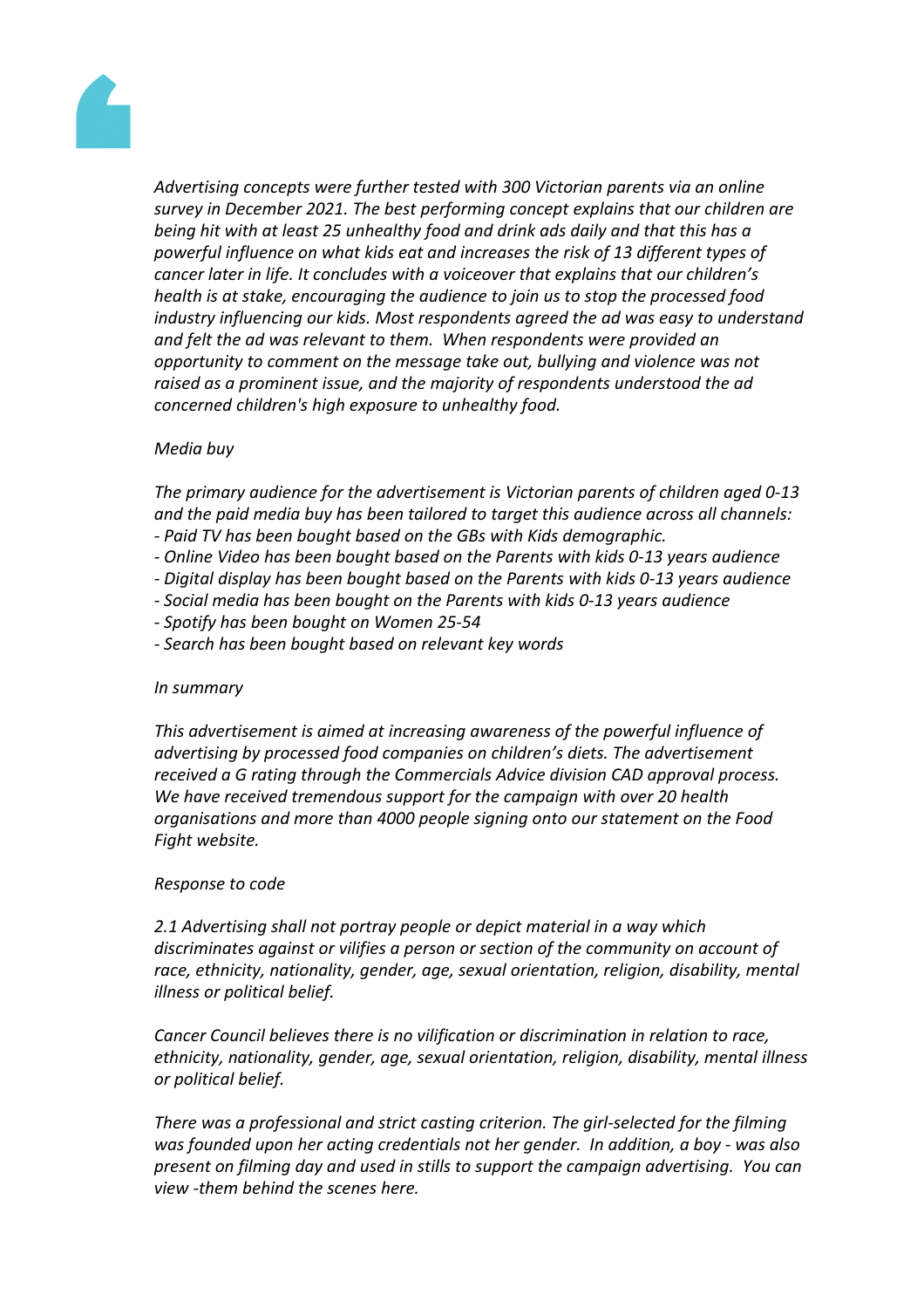

*Advertising concepts were further tested with 300 Victorian parents via an online survey in December 2021. The best performing concept explains that our children are being hit with at least 25 unhealthy food and drink ads daily and that this has a powerful influence on what kids eat and increases the risk of 13 different types of cancer later in life. It concludes with a voiceover that explains that our children's health is at stake, encouraging the audience to join us to stop the processed food industry influencing our kids. Most respondents agreed the ad was easy to understand and felt the ad was relevant to them. When respondents were provided an opportunity to comment on the message take out, bullying and violence was not raised as a prominent issue, and the majority of respondents understood the ad concerned children's high exposure to unhealthy food.* 

# *Media buy*

*The primary audience for the advertisement is Victorian parents of children aged 0-13 and the paid media buy has been tailored to target this audience across all channels: - Paid TV has been bought based on the GBs with Kids demographic.*

- *- Online Video has been bought based on the Parents with kids 0-13 years audience*
- *- Digital display has been bought based on the Parents with kids 0-13 years audience*
- *- Social media has been bought on the Parents with kids 0-13 years audience*
- *- Spotify has been bought on Women 25-54*
- *- Search has been bought based on relevant key words*

#### *In summary*

*This advertisement is aimed at increasing awareness of the powerful influence of advertising by processed food companies on children's diets. The advertisement received a G rating through the Commercials Advice division CAD approval process. We have received tremendous support for the campaign with over 20 health organisations and more than 4000 people signing onto our statement on the Food Fight website.* 

#### *Response to code*

*2.1 Advertising shall not portray people or depict material in a way which discriminates against or vilifies a person or section of the community on account of race, ethnicity, nationality, gender, age, sexual orientation, religion, disability, mental illness or political belief.*

*Cancer Council believes there is no vilification or discrimination in relation to race, ethnicity, nationality, gender, age, sexual orientation, religion, disability, mental illness or political belief.*

*There was a professional and strict casting criterion. The girl-selected for the filming was founded upon her acting credentials not her gender. In addition, a boy - was also present on filming day and used in stills to support the campaign advertising. You can view -them behind the scenes here.*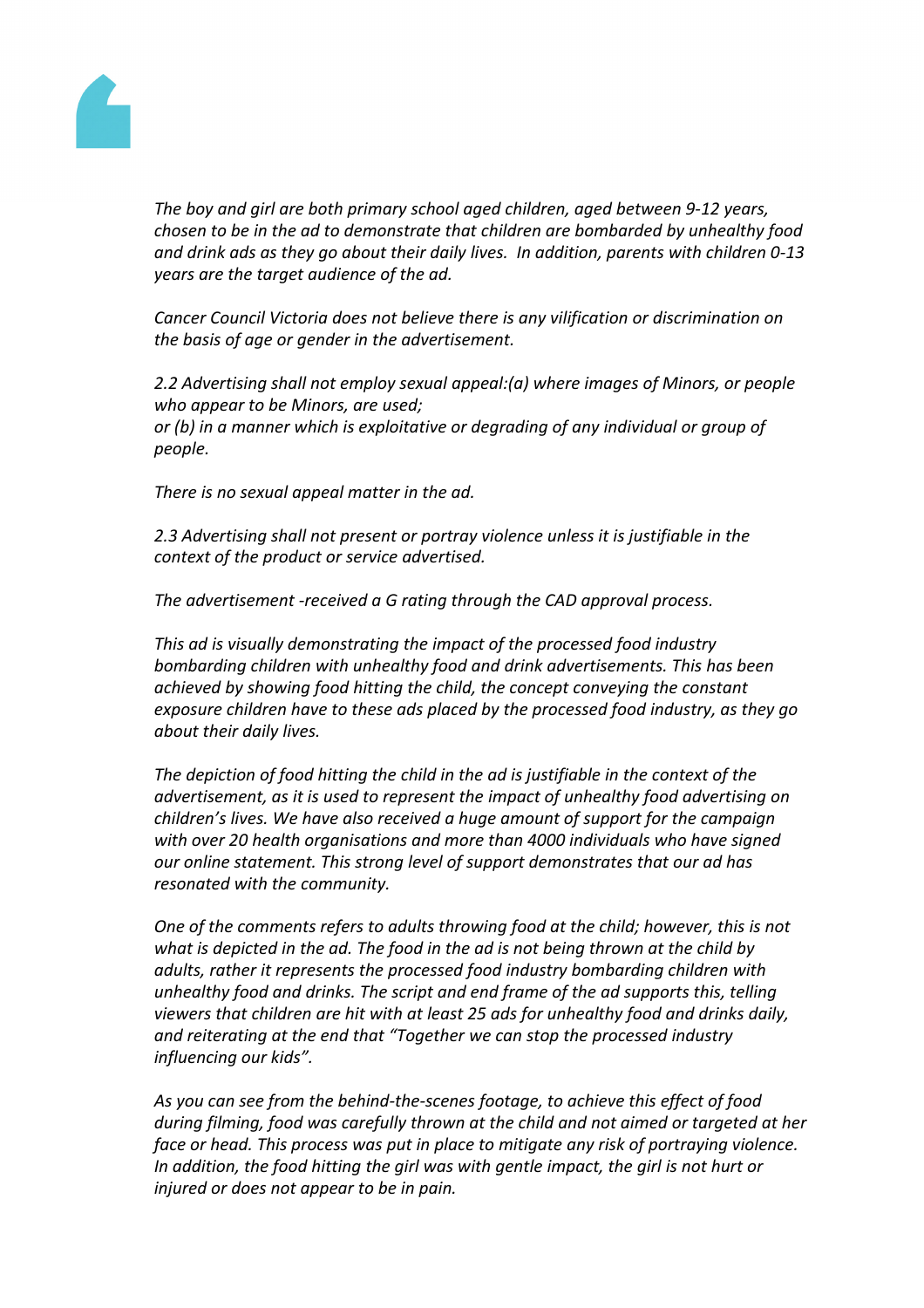

*The boy and girl are both primary school aged children, aged between 9-12 years, chosen to be in the ad to demonstrate that children are bombarded by unhealthy food and drink ads as they go about their daily lives. In addition, parents with children 0-13 years are the target audience of the ad.* 

*Cancer Council Victoria does not believe there is any vilification or discrimination on the basis of age or gender in the advertisement.* 

*2.2 Advertising shall not employ sexual appeal:(a) where images of Minors, or people who appear to be Minors, are used; or (b) in a manner which is exploitative or degrading of any individual or group of people.*

*There is no sexual appeal matter in the ad.*

*2.3 Advertising shall not present or portray violence unless it is justifiable in the context of the product or service advertised.*

*The advertisement -received a G rating through the CAD approval process.*

*This ad is visually demonstrating the impact of the processed food industry bombarding children with unhealthy food and drink advertisements. This has been achieved by showing food hitting the child, the concept conveying the constant exposure children have to these ads placed by the processed food industry, as they go about their daily lives.* 

*The depiction of food hitting the child in the ad is justifiable in the context of the advertisement, as it is used to represent the impact of unhealthy food advertising on children's lives. We have also received a huge amount of support for the campaign with over 20 health organisations and more than 4000 individuals who have signed our online statement. This strong level of support demonstrates that our ad has resonated with the community.*

*One of the comments refers to adults throwing food at the child; however, this is not what is depicted in the ad. The food in the ad is not being thrown at the child by adults, rather it represents the processed food industry bombarding children with unhealthy food and drinks. The script and end frame of the ad supports this, telling viewers that children are hit with at least 25 ads for unhealthy food and drinks daily, and reiterating at the end that "Together we can stop the processed industry influencing our kids".* 

*As you can see from the behind-the-scenes footage, to achieve this effect of food during filming, food was carefully thrown at the child and not aimed or targeted at her face or head. This process was put in place to mitigate any risk of portraying violence. In addition, the food hitting the girl was with gentle impact, the girl is not hurt or injured or does not appear to be in pain.*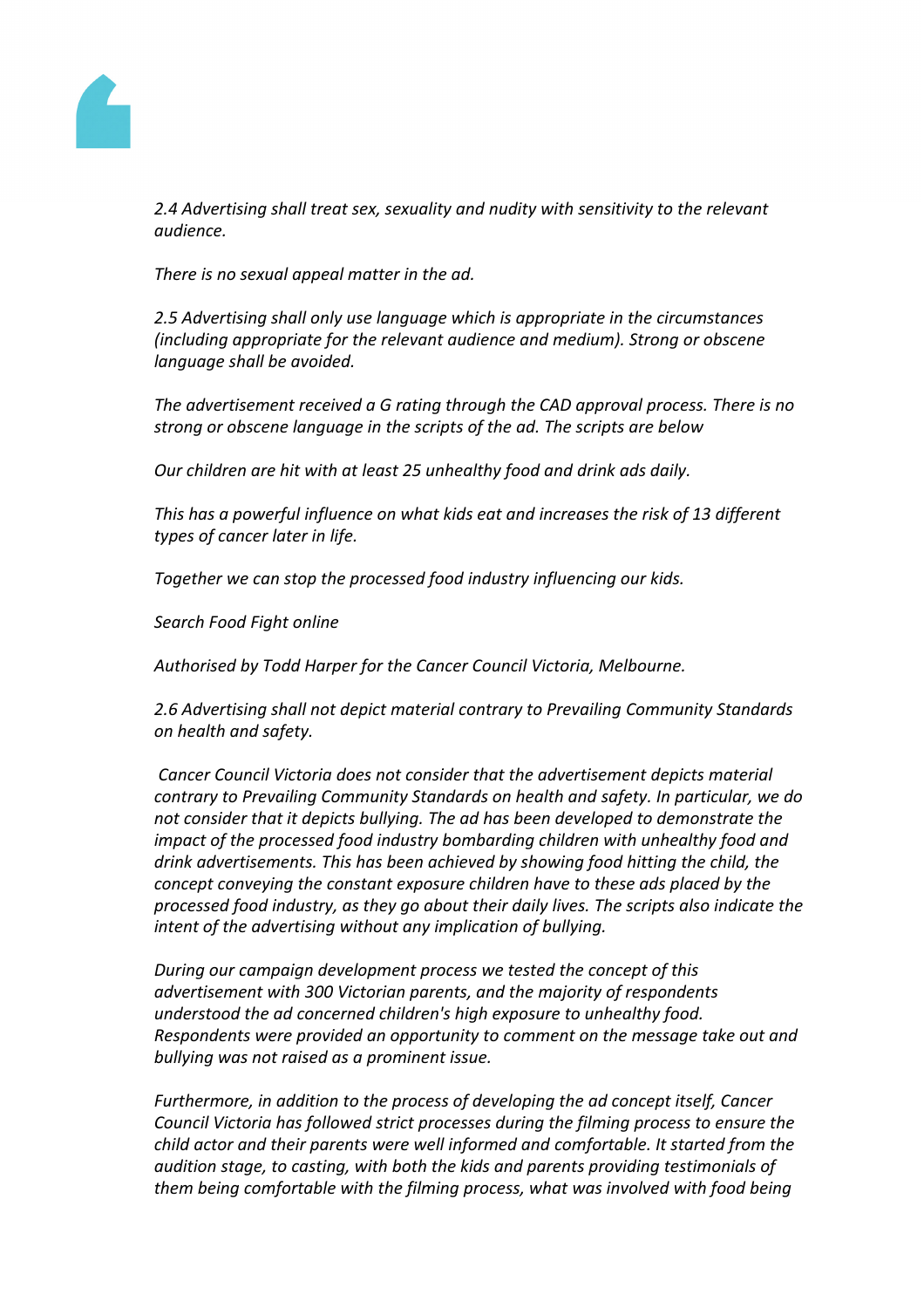

*2.4 Advertising shall treat sex, sexuality and nudity with sensitivity to the relevant audience.*

*There is no sexual appeal matter in the ad.*

*2.5 Advertising shall only use language which is appropriate in the circumstances (including appropriate for the relevant audience and medium). Strong or obscene language shall be avoided.*

*The advertisement received a G rating through the CAD approval process. There is no strong or obscene language in the scripts of the ad. The scripts are below* 

*Our children are hit with at least 25 unhealthy food and drink ads daily.*

*This has a powerful influence on what kids eat and increases the risk of 13 different types of cancer later in life.*

*Together we can stop the processed food industry influencing our kids.*

*Search Food Fight online*

*Authorised by Todd Harper for the Cancer Council Victoria, Melbourne.*

*2.6 Advertising shall not depict material contrary to Prevailing Community Standards on health and safety.*

*Cancer Council Victoria does not consider that the advertisement depicts material contrary to Prevailing Community Standards on health and safety. In particular, we do not consider that it depicts bullying. The ad has been developed to demonstrate the impact of the processed food industry bombarding children with unhealthy food and drink advertisements. This has been achieved by showing food hitting the child, the concept conveying the constant exposure children have to these ads placed by the processed food industry, as they go about their daily lives. The scripts also indicate the intent of the advertising without any implication of bullying.* 

*During our campaign development process we tested the concept of this advertisement with 300 Victorian parents, and the majority of respondents understood the ad concerned children's high exposure to unhealthy food. Respondents were provided an opportunity to comment on the message take out and bullying was not raised as a prominent issue.*

*Furthermore, in addition to the process of developing the ad concept itself, Cancer Council Victoria has followed strict processes during the filming process to ensure the child actor and their parents were well informed and comfortable. It started from the audition stage, to casting, with both the kids and parents providing testimonials of them being comfortable with the filming process, what was involved with food being*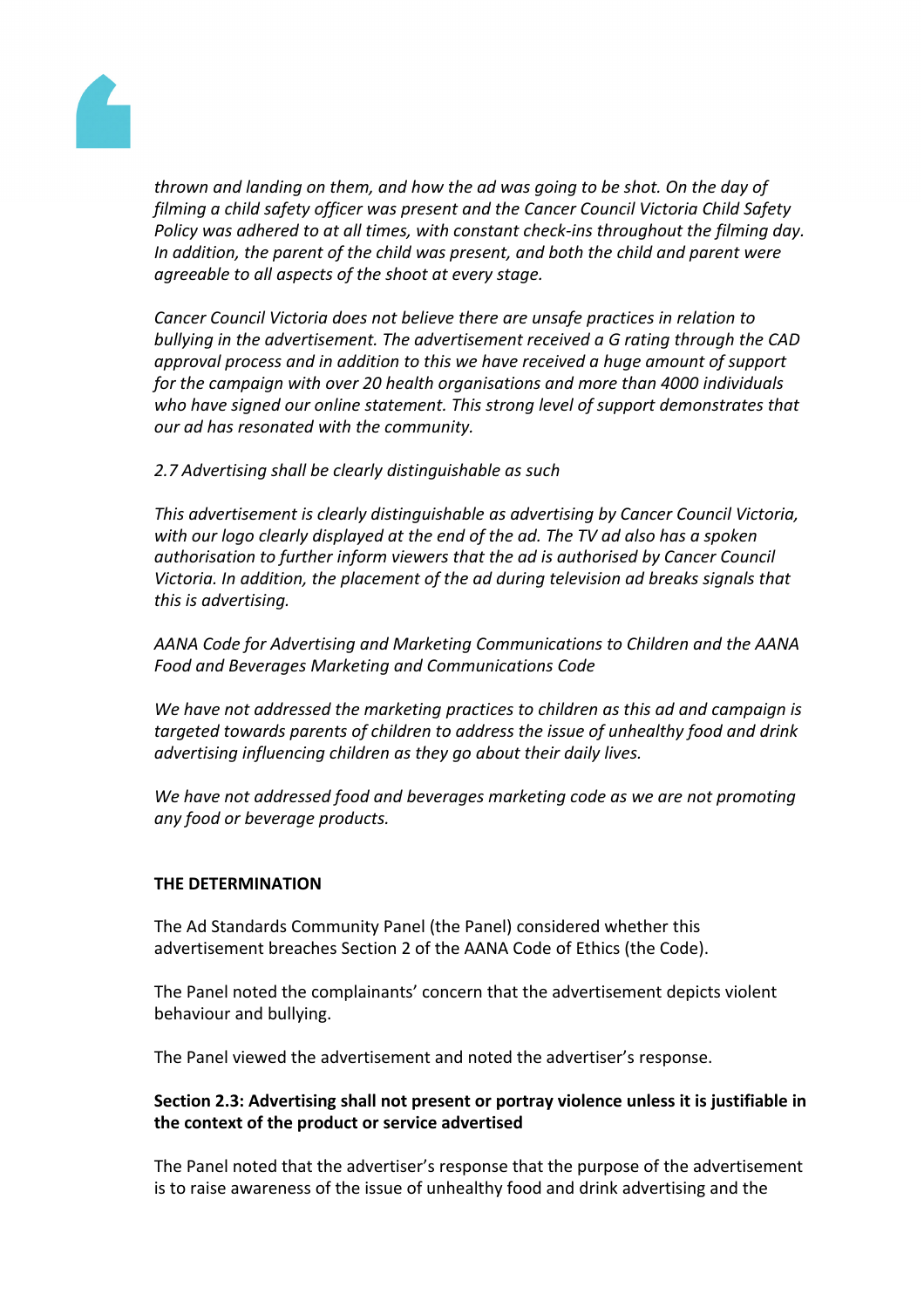

*thrown and landing on them, and how the ad was going to be shot. On the day of filming a child safety officer was present and the Cancer Council Victoria Child Safety Policy was adhered to at all times, with constant check-ins throughout the filming day. In addition, the parent of the child was present, and both the child and parent were agreeable to all aspects of the shoot at every stage.*

*Cancer Council Victoria does not believe there are unsafe practices in relation to bullying in the advertisement. The advertisement received a G rating through the CAD approval process and in addition to this we have received a huge amount of support for the campaign with over 20 health organisations and more than 4000 individuals who have signed our online statement. This strong level of support demonstrates that our ad has resonated with the community.*

# *2.7 Advertising shall be clearly distinguishable as such*

*This advertisement is clearly distinguishable as advertising by Cancer Council Victoria, with our logo clearly displayed at the end of the ad. The TV ad also has a spoken authorisation to further inform viewers that the ad is authorised by Cancer Council Victoria. In addition, the placement of the ad during television ad breaks signals that this is advertising.*

*AANA Code for Advertising and Marketing Communications to Children and the AANA Food and Beverages Marketing and Communications Code* 

*We have not addressed the marketing practices to children as this ad and campaign is targeted towards parents of children to address the issue of unhealthy food and drink advertising influencing children as they go about their daily lives.* 

*We have not addressed food and beverages marketing code as we are not promoting any food or beverage products.*

## **THE DETERMINATION**

The Ad Standards Community Panel (the Panel) considered whether this advertisement breaches Section 2 of the AANA Code of Ethics (the Code).

The Panel noted the complainants' concern that the advertisement depicts violent behaviour and bullying.

The Panel viewed the advertisement and noted the advertiser's response.

# **Section 2.3: Advertising shall not present or portray violence unless it is justifiable in the context of the product or service advertised**

The Panel noted that the advertiser's response that the purpose of the advertisement is to raise awareness of the issue of unhealthy food and drink advertising and the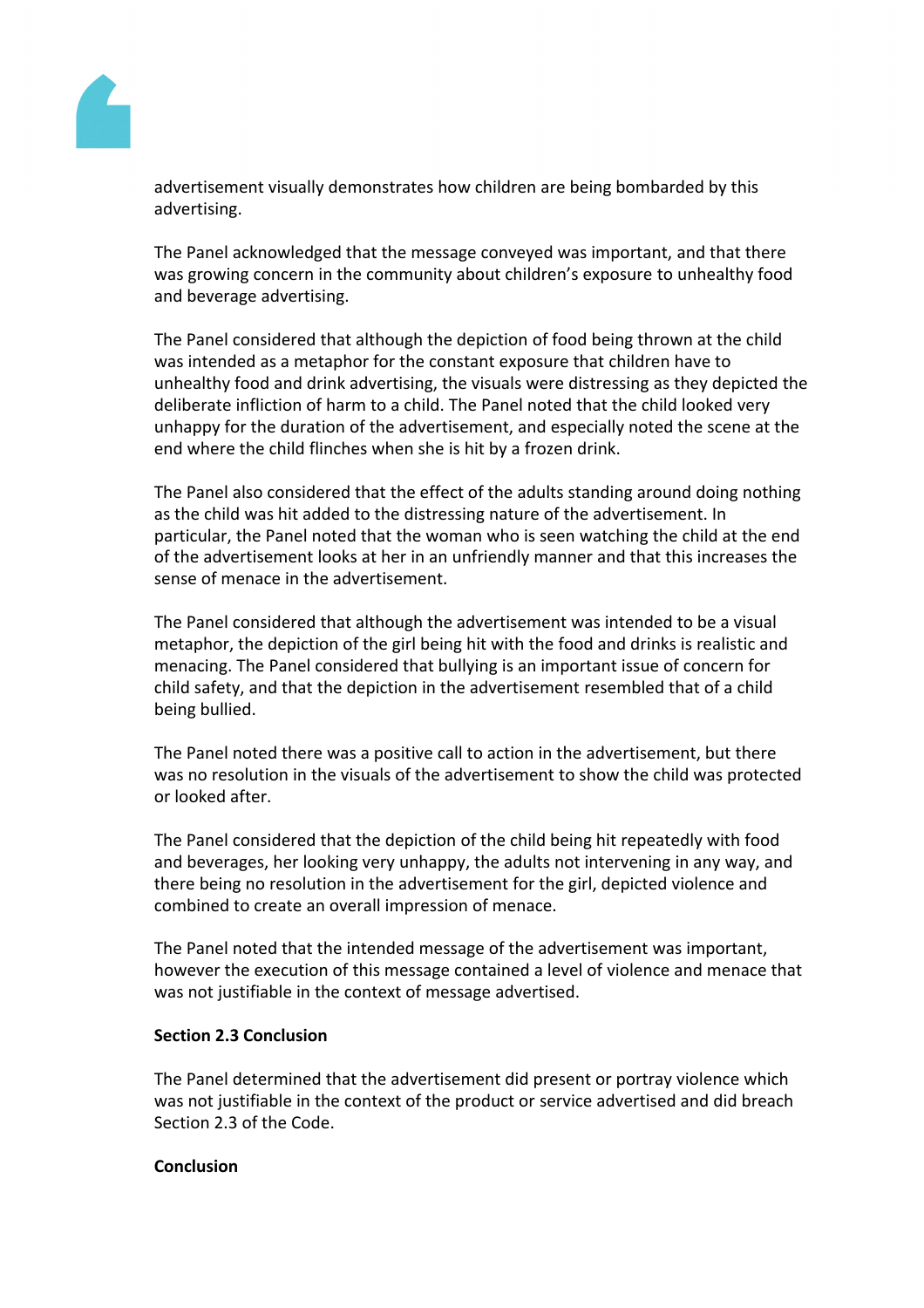

advertisement visually demonstrates how children are being bombarded by this advertising.

The Panel acknowledged that the message conveyed was important, and that there was growing concern in the community about children's exposure to unhealthy food and beverage advertising.

The Panel considered that although the depiction of food being thrown at the child was intended as a metaphor for the constant exposure that children have to unhealthy food and drink advertising, the visuals were distressing as they depicted the deliberate infliction of harm to a child. The Panel noted that the child looked very unhappy for the duration of the advertisement, and especially noted the scene at the end where the child flinches when she is hit by a frozen drink.

The Panel also considered that the effect of the adults standing around doing nothing as the child was hit added to the distressing nature of the advertisement. In particular, the Panel noted that the woman who is seen watching the child at the end of the advertisement looks at her in an unfriendly manner and that this increases the sense of menace in the advertisement.

The Panel considered that although the advertisement was intended to be a visual metaphor, the depiction of the girl being hit with the food and drinks is realistic and menacing. The Panel considered that bullying is an important issue of concern for child safety, and that the depiction in the advertisement resembled that of a child being bullied.

The Panel noted there was a positive call to action in the advertisement, but there was no resolution in the visuals of the advertisement to show the child was protected or looked after.

The Panel considered that the depiction of the child being hit repeatedly with food and beverages, her looking very unhappy, the adults not intervening in any way, and there being no resolution in the advertisement for the girl, depicted violence and combined to create an overall impression of menace.

The Panel noted that the intended message of the advertisement was important, however the execution of this message contained a level of violence and menace that was not justifiable in the context of message advertised.

## **Section 2.3 Conclusion**

The Panel determined that the advertisement did present or portray violence which was not justifiable in the context of the product or service advertised and did breach Section 2.3 of the Code.

#### **Conclusion**